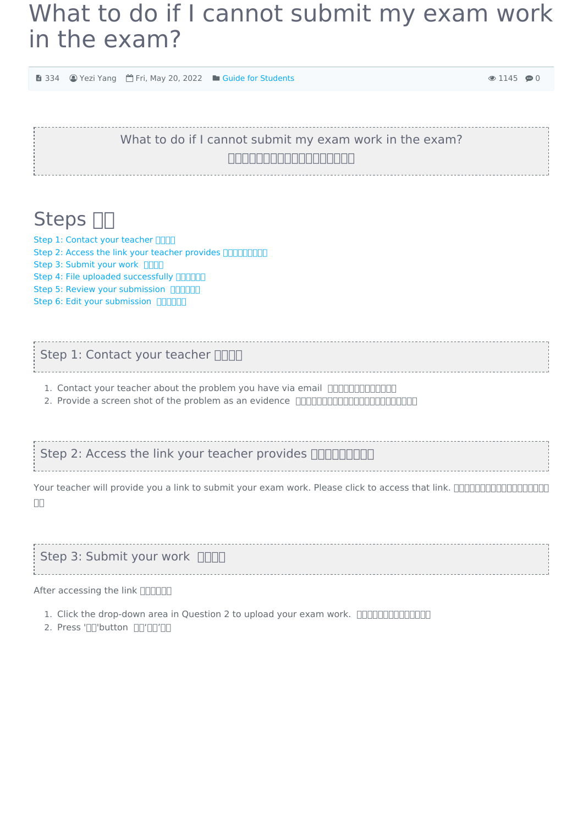## What to do if I cannot submit my exam work in the exam?

<span id="page-0-2"></span><span id="page-0-1"></span><span id="page-0-0"></span>

| ■ 334                                                                                                                                                                                                                                                                                                                | Signal Yezi Yang   Fri, May 20, 2022 ■ Guide for Students |                                   |                                                         | $\odot$ 1145 |  |
|----------------------------------------------------------------------------------------------------------------------------------------------------------------------------------------------------------------------------------------------------------------------------------------------------------------------|-----------------------------------------------------------|-----------------------------------|---------------------------------------------------------|--------------|--|
|                                                                                                                                                                                                                                                                                                                      |                                                           |                                   |                                                         |              |  |
|                                                                                                                                                                                                                                                                                                                      |                                                           | , , , , , , , , , , , , , , , , , | What to do if I cannot submit my exam work in the exam? |              |  |
| Steps $\Box$<br>Step 1: Contact your teacher <b>HHH</b><br>Step 2: Access the link your teacher provides <b>DODDDDD</b><br>Step 3: Submit your work <b>DOD</b><br>Step 4: File uploaded successfully <b>[100000</b> ]<br>Step 5: Review your submission <b>[10000</b> ]<br>Step 6: Edit your submission <b>DODDD</b> |                                                           |                                   |                                                         |              |  |
|                                                                                                                                                                                                                                                                                                                      | Step 1: Contact your teacher                              |                                   |                                                         |              |  |
| 1. Contact your teacher about the problem you have via email <b>COLCOLCOLCO</b>                                                                                                                                                                                                                                      |                                                           |                                   |                                                         |              |  |
| Step 2: Access the link your teacher provides <b>[1000000</b> ]                                                                                                                                                                                                                                                      |                                                           |                                   |                                                         |              |  |
| Your teacher will provide you a link to submit your exam work. Please click to access that link. [[[[[[[[[[[[                                                                                                                                                                                                        |                                                           |                                   |                                                         |              |  |
| Step 3: Submit your work <b>ODD</b>                                                                                                                                                                                                                                                                                  |                                                           |                                   |                                                         |              |  |
| After accessing the link <b>[[[[[[[[]]</b>                                                                                                                                                                                                                                                                           |                                                           |                                   |                                                         |              |  |
| 2. Press 'III'button III'III'III                                                                                                                                                                                                                                                                                     |                                                           |                                   |                                                         |              |  |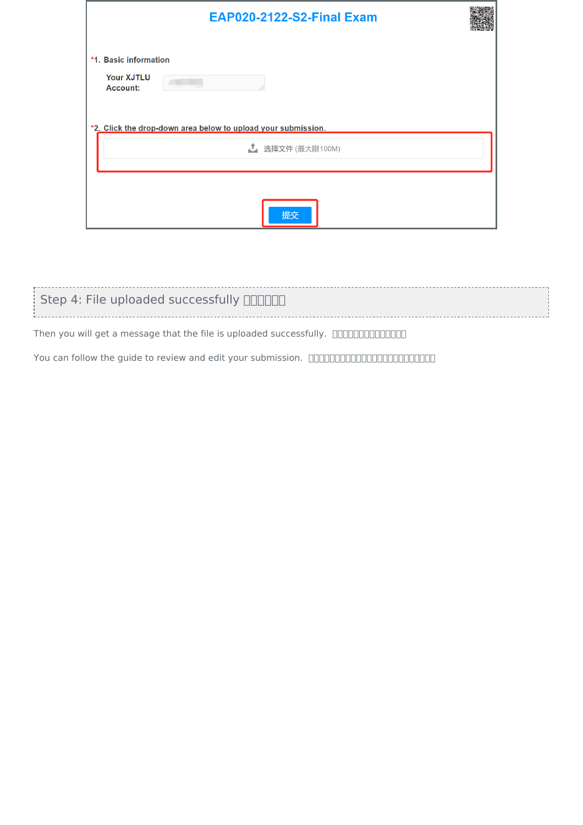|                                                               | <b>EAP020-2122-S2-Final Exam</b>                                                   |  |
|---------------------------------------------------------------|------------------------------------------------------------------------------------|--|
| *1. Basic information<br><b>Your XJTLU</b><br><b>Account:</b> |                                                                                    |  |
|                                                               | *2. Click the drop-down area below to upload your submission.<br>1. 选择文件 (最大限100M) |  |
|                                                               | 提交                                                                                 |  |

<span id="page-1-0"></span>

| Step 4: File uploaded successfully <b>FIFIER</b> |  |
|--------------------------------------------------|--|
|                                                  |  |
|                                                  |  |

Then you will get a message that the file is uploaded successfully.

You can follow the guide to review and edit your submission.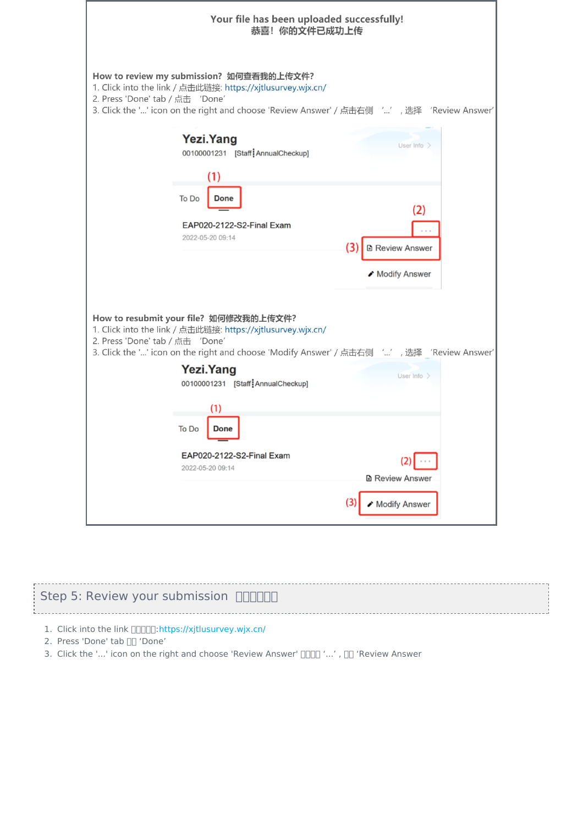| Your file has been uploaded successfully!<br>恭喜!你的文件已成功上传                                                                                                                                                                                                  |                        |
|------------------------------------------------------------------------------------------------------------------------------------------------------------------------------------------------------------------------------------------------------------|------------------------|
| How to review my submission? 如何查看我的上传文件?<br>1. Click into the link / 点击此链接: https://xjtlusurvey.wjx.cn/<br>2. Press 'Done' tab / 点击 'Done'<br>3. Click the '' icon on the right and choose 'Review Answer' / 点击右侧 '' ,选择 'Review Answer'                   |                        |
| Yezi.Yang<br>00100001231 [Staff   AnnualCheckup]                                                                                                                                                                                                           | User Info              |
| (1)                                                                                                                                                                                                                                                        |                        |
| To Do<br>Done                                                                                                                                                                                                                                              | (2)                    |
| EAP020-2122-S2-Final Exam<br>2022-05-20 09:14                                                                                                                                                                                                              | <b>B</b> Review Answer |
|                                                                                                                                                                                                                                                            | Modify Answer          |
| How to resubmit your file? 如何修改我的上传文件?<br>1. Click into the link / 点击此链接: https://xjtlusurvey.wjx.cn/<br>2. Press 'Done' tab / 点击 'Done'<br>3. Click the '' icon on the right and choose 'Modify Answer' / 点击右侧 '', 选择 'Review Answer'<br><b>Yezi.Yang</b> | User Info $\geq$       |
| 00100001231 [Staff   AnnualCheckup]                                                                                                                                                                                                                        |                        |
| (1)<br>To Do<br><b>Done</b>                                                                                                                                                                                                                                |                        |
| EAP020-2122-S2-Final Exam                                                                                                                                                                                                                                  |                        |
| 2022-05-20 09:14                                                                                                                                                                                                                                           | <b>B</b> Review Answer |
|                                                                                                                                                                                                                                                            | (3<br>Modify Answer    |

<span id="page-2-0"></span>

| $\frac{1}{2}$ Step 5: Review your submission $\sqrt{10000}$ |  |
|-------------------------------------------------------------|--|
|                                                             |  |

- 1. Click into the link  $\Box$  $\Box$ :<https://xjtlusurvey.wjx.cn/>
- 2. Press 'Done' tab  $\Box$  'Done'
- 3. Click the '...' icon on the right and choose 'Review Answer' **DOOD** '...', DO 'Review Answer'